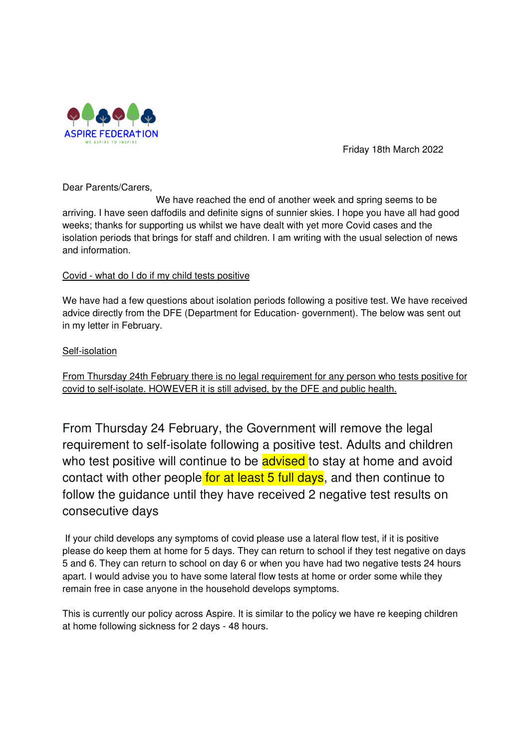

Friday 18th March 2022

Dear Parents/Carers,

We have reached the end of another week and spring seems to be arriving. I have seen daffodils and definite signs of sunnier skies. I hope you have all had good weeks; thanks for supporting us whilst we have dealt with yet more Covid cases and the isolation periods that brings for staff and children. I am writing with the usual selection of news and information.

# Covid - what do I do if my child tests positive

We have had a few questions about isolation periods following a positive test. We have received advice directly from the DFE (Department for Education- government). The below was sent out in my letter in February.

# Self-isolation

From Thursday 24th February there is no legal requirement for any person who tests positive for covid to self-isolate. HOWEVER it is still advised, by the DFE and public health.

From Thursday 24 February, the Government will remove the legal requirement to self-isolate following a positive test. Adults and children who test positive will continue to be **advised** to stay at home and avoid contact with other people for at least 5 full days, and then continue to follow the guidance until they have received 2 negative test results on consecutive days

 If your child develops any symptoms of covid please use a lateral flow test, if it is positive please do keep them at home for 5 days. They can return to school if they test negative on days 5 and 6. They can return to school on day 6 or when you have had two negative tests 24 hours apart. I would advise you to have some lateral flow tests at home or order some while they remain free in case anyone in the household develops symptoms.

This is currently our policy across Aspire. It is similar to the policy we have re keeping children at home following sickness for 2 days - 48 hours.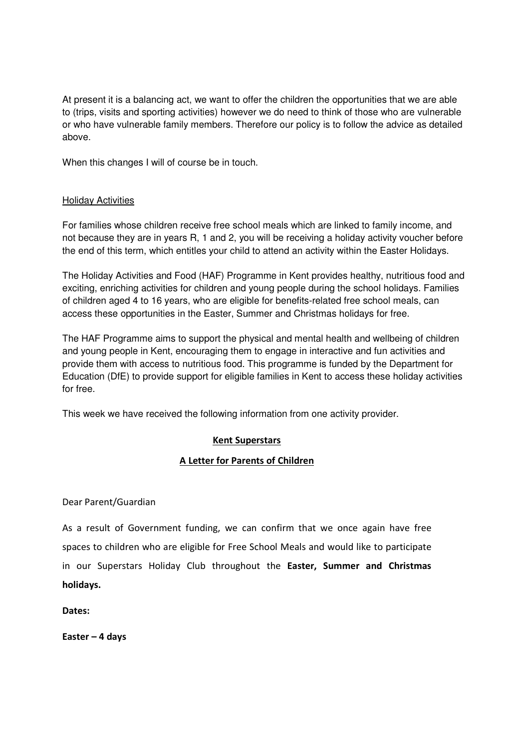At present it is a balancing act, we want to offer the children the opportunities that we are able to (trips, visits and sporting activities) however we do need to think of those who are vulnerable or who have vulnerable family members. Therefore our policy is to follow the advice as detailed above.

When this changes I will of course be in touch.

### Holiday Activities

For families whose children receive free school meals which are linked to family income, and not because they are in years R, 1 and 2, you will be receiving a holiday activity voucher before the end of this term, which entitles your child to attend an activity within the Easter Holidays.

The Holiday Activities and Food (HAF) Programme in Kent provides healthy, nutritious food and exciting, enriching activities for children and young people during the school holidays. Families of children aged 4 to 16 years, who are eligible for benefits-related free school meals, can access these opportunities in the Easter, Summer and Christmas holidays for free.

The HAF Programme aims to support the physical and mental health and wellbeing of children and young people in Kent, encouraging them to engage in interactive and fun activities and provide them with access to nutritious food. This programme is funded by the Department for Education (DfE) to provide support for eligible families in Kent to access these holiday activities for free.

This week we have received the following information from one activity provider.

## Kent Superstars

### A Letter for Parents of Children

Dear Parent/Guardian

As a result of Government funding, we can confirm that we once again have free spaces to children who are eligible for Free School Meals and would like to participate in our Superstars Holiday Club throughout the Easter, Summer and Christmas holidays.

Dates:

Easter – 4 days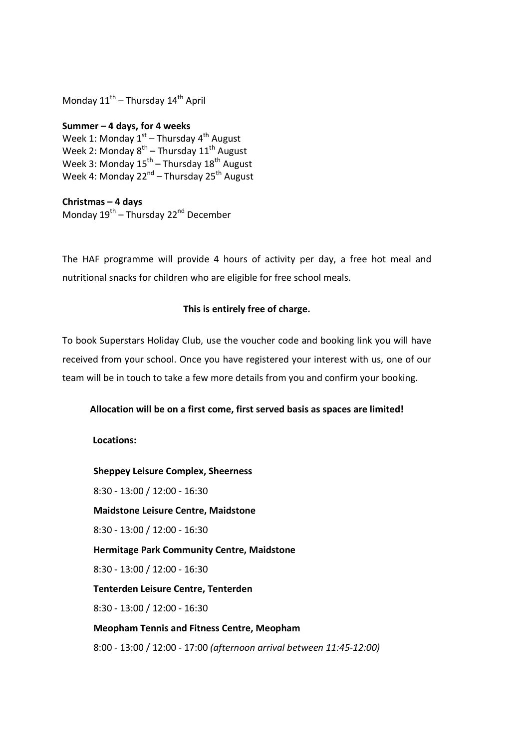Monday  $11^{\text{th}}$  – Thursday  $14^{\text{th}}$  April

### Summer – 4 days, for 4 weeks

Week 1: Monday  $1^{st}$  – Thursday  $4^{th}$  August Week 2: Monday  $8^{th}$  – Thursday  $11^{th}$  August Week 3: Monday  $15^{th}$  – Thursday  $18^{th}$  August Week 4: Monday  $22^{nd}$  – Thursday  $25^{th}$  August

# Christmas – 4 days

Monday  $19^{th}$  – Thursday 22<sup>nd</sup> December

The HAF programme will provide 4 hours of activity per day, a free hot meal and nutritional snacks for children who are eligible for free school meals.

# This is entirely free of charge.

To book Superstars Holiday Club, use the voucher code and booking link you will have received from your school. Once you have registered your interest with us, one of our team will be in touch to take a few more details from you and confirm your booking.

## Allocation will be on a first come, first served basis as spaces are limited!

## Locations:

Sheppey Leisure Complex, Sheerness 8:30 - 13:00 / 12:00 - 16:30 Maidstone Leisure Centre, Maidstone 8:30 - 13:00 / 12:00 - 16:30 Hermitage Park Community Centre, Maidstone 8:30 - 13:00 / 12:00 - 16:30 Tenterden Leisure Centre, Tenterden 8:30 - 13:00 / 12:00 - 16:30 Meopham Tennis and Fitness Centre, Meopham 8:00 - 13:00 / 12:00 - 17:00 (afternoon arrival between 11:45-12:00)